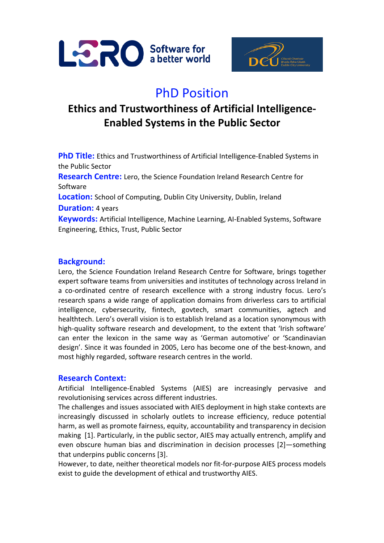



# PhD Position

# **Ethics and Trustworthiness of Artificial Intelligence-Enabled Systems in the Public Sector**

**PhD Title:** Ethics and Trustworthiness of Artificial Intelligence-Enabled Systems in the Public Sector **Research Centre:** Lero, the Science Foundation Ireland Research Centre for Software **Location:** School of Computing, Dublin City University, Dublin, Ireland **Duration:** 4 years **Keywords:** Artificial Intelligence, Machine Learning, AI-Enabled Systems, Software Engineering, Ethics, Trust, Public Sector

# **Background:**

Lero, the Science Foundation Ireland Research Centre for Software, brings together expert software teams from universities and institutes of technology across Ireland in a co-ordinated centre of research excellence with a strong industry focus. Lero's research spans a wide range of application domains from driverless cars to artificial intelligence, cybersecurity, fintech, govtech, smart communities, agtech and healthtech. Lero's overall vision is to establish Ireland as a location synonymous with high-quality software research and development, to the extent that 'Irish software' can enter the lexicon in the same way as 'German automotive' or 'Scandinavian design'. Since it was founded in 2005, Lero has become one of the best-known, and most highly regarded, software research centres in the world.

#### **Research Context:**

Artificial Intelligence-Enabled Systems (AIES) are increasingly pervasive and revolutionising services across different industries.

The challenges and issues associated with AIES deployment in high stake contexts are increasingly discussed in scholarly outlets to increase efficiency, reduce potential harm, as well as promote fairness, equity, accountability and transparency in decision making [1]. Particularly, in the public sector, AIES may actually entrench, amplify and even obscure human bias and discrimination in decision processes [2]—something that underpins public concerns [3].

However, to date, neither theoretical models nor fit-for-purpose AIES process models exist to guide the development of ethical and trustworthy AIES.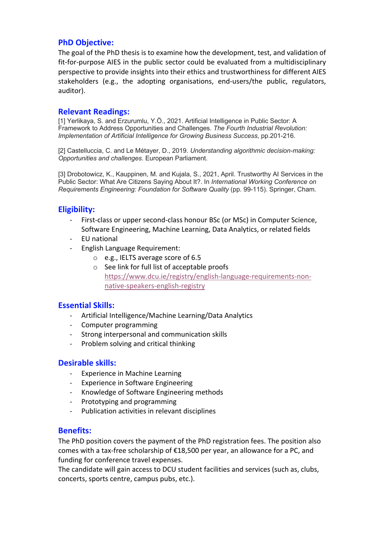# **PhD Objective:**

The goal of the PhD thesis is to examine how the development, test, and validation of fit-for-purpose AIES in the public sector could be evaluated from a multidisciplinary perspective to provide insights into their ethics and trustworthiness for different AIES stakeholders (e.g., the adopting organisations, end-users/the public, regulators, auditor).

#### **Relevant Readings:**

[1] Yerlikaya, S. and Erzurumlu, Y.Ö., 2021. Artificial Intelligence in Public Sector: A Framework to Address Opportunities and Challenges. *The Fourth Industrial Revolution: Implementation of Artificial Intelligence for Growing Business Success*, pp.201-216.

[2] Castelluccia, C. and Le Métayer, D., 2019. *Understanding algorithmic decision-making: Opportunities and challenges*. European Parliament.

[3] Drobotowicz, K., Kauppinen, M. and Kujala, S., 2021, April. Trustworthy AI Services in the Public Sector: What Are Citizens Saying About It?. In *International Working Conference on Requirements Engineering: Foundation for Software Quality* (pp. 99-115). Springer, Cham.

# **Eligibility:**

- First-class or upper second-class honour BSc (or MSc) in Computer Science, Software Engineering, Machine Learning, Data Analytics, or related fields
- EU national
- English Language Requirement:
	- o e.g., IELTS average score of 6.5
	- o See link for full list of acceptable proofs https://www.dcu.ie/registry/english-language-requirements-nonnative-speakers-english-registry

#### **Essential Skills:**

- Artificial Intelligence/Machine Learning/Data Analytics
- Computer programming
- Strong interpersonal and communication skills
- Problem solving and critical thinking

#### **Desirable skills:**

- Experience in Machine Learning
- Experience in Software Engineering
- Knowledge of Software Engineering methods
- Prototyping and programming
- Publication activities in relevant disciplines

#### **Benefits:**

The PhD position covers the payment of the PhD registration fees. The position also comes with a tax-free scholarship of €18,500 per year, an allowance for a PC, and funding for conference travel expenses.

The candidate will gain access to DCU student facilities and services (such as, clubs, concerts, sports centre, campus pubs, etc.).